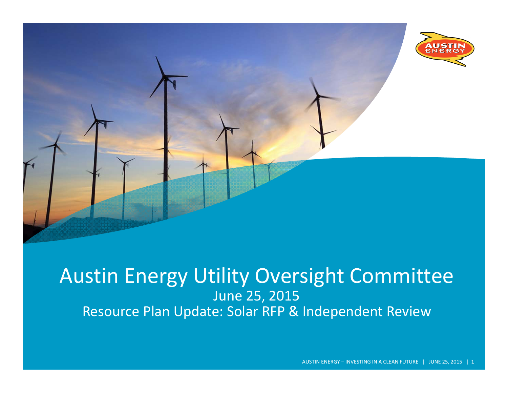

#### Austin Energy Utility Oversight Committee June 25, 2015 Resource Plan Update: Solar RFP & Independent Review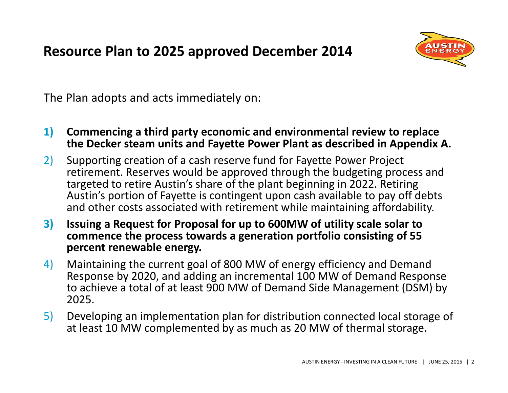**Resource Plan to 2025 approved December 2014**



The Plan adopts and acts immediately on:

- **1) Commencing <sup>a</sup> third party economic and environmental review to replace the Decker steam units and Fayette Power Plant as described in Appendix A.**
- 2) Supporting creation of <sup>a</sup> cash reserve fund for Fayette Power Project retirement. Reserves would be approved through the budgeting process and targeted to retire Austin's share of the plant beginning in 2022. Retiring Austin's portion of Fayette is contingent upon cash available to pay off debts and other costs associated with retirement while maintaining affordability.
- **3) Issuing <sup>a</sup> Request for Proposal for up to 600MW of utility scale solar to commence the process towards <sup>a</sup> generation portfolio consisting of 55 percent renewable energy.**
- 4) Maintaining the current goal of 800 MW of energy efficiency and Demand Response by 2020, and adding an incremental 100 MW of Demand Response to achieve <sup>a</sup> total of at least 900 MW of Demand Side Management (DSM) by 2025.
- 5) Developing an implementation plan for distribution connected local storage of at least 10 MW complemented by as much as 20 MW of thermal storage.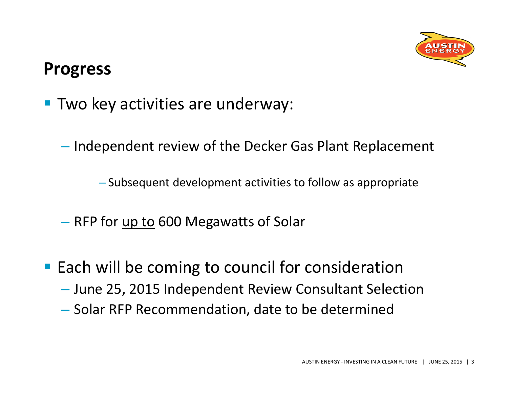

## **Progress**

- **Two key activities are underway:** 
	- $-$  Independent review of the Decker Gas Plant Replacement

– Subsequent development activities to follow as appropriate

- RFP for <u>up to</u> 600 Megawatts of Solar
- **Each will be coming to council for consideration** 
	- June 25, 2015 Independent Review Consultant Selection
	- $\mathcal{L}_{\mathcal{A}}$  $-$  Solar RFP Recommendation, date to be determined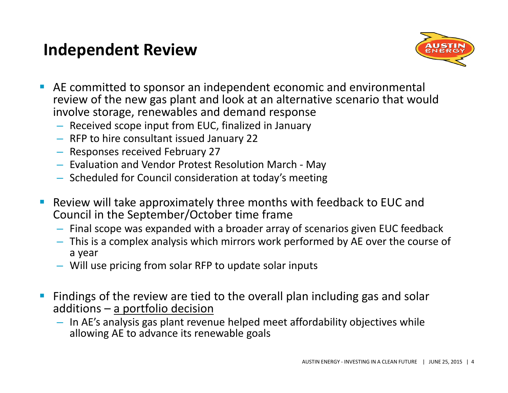#### **Independent Review**



- AE committed to sponsor an independent economic and environmental review of the new gas plant and look at an alternative scenario that would involve storage, renewables and demand response
	- Received scope input from EUC, finalized in January
	- RFP to hire consultant issued January 22
	- Responses received February 27
	- Evaluation and Vendor Protest Resolution March ‐ May
	- Scheduled for Council consideration at today's meeting
- Review will take approximately three months with feedback to EUC and Council in the September/October time frame
	- Final scope was expanded with <sup>a</sup> broader array of scenarios given EUC feedback
	- This is <sup>a</sup> complex analysis which mirrors work performed by AE over the course of a year
	- Will use pricing from solar RFP to update solar inputs
- Findings of the review are tied to the overall plan including gas and solar additions – <u>a portfolio decision</u>
	- In AE's analysis gas plant revenue helped meet affordability objectives while allowing AE to advance its renewable goals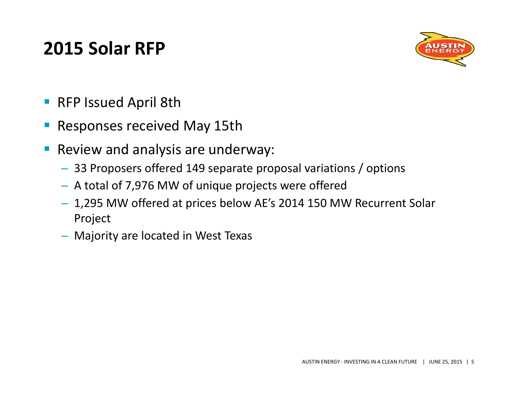## **2015 Solar RFP**



- **RFP Issued April 8th**
- $\mathcal{L}_{\mathcal{A}}$ Responses received May 15th
- $\mathcal{L}_{\mathcal{A}}$ **Review and analysis are underway:** 
	- 33 Proposers offered 149 separate proposal variations / options
	- A total of 7,976 MW of unique projects were offered
	- 1,295 MW offered at prices below AE's 2014 150 MW Recurrent Solar Project
	- Majority are located in West Texas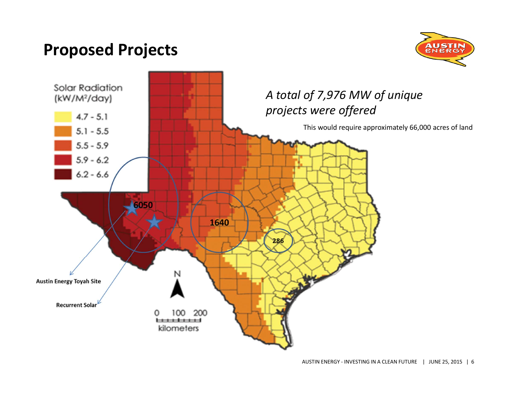#### **Proposed Projects**



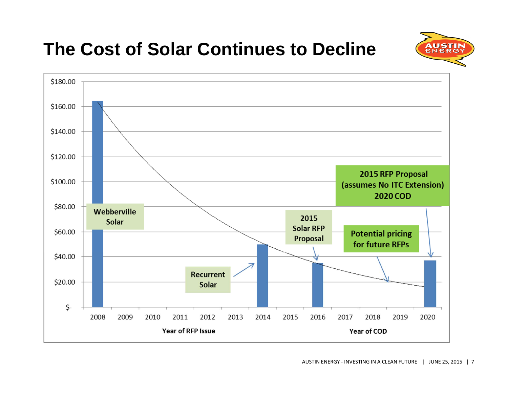

# **The Cost of Solar Continues to Decline**

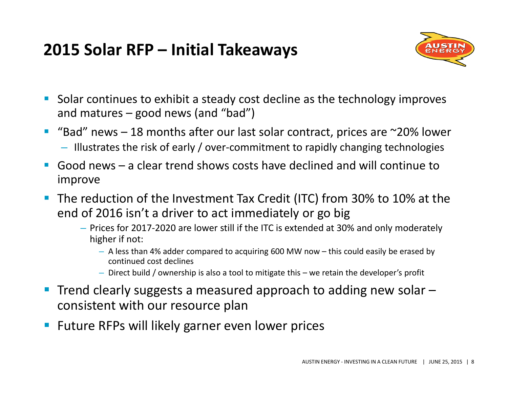## **2015 Solar RFP – Initial Takeaways**



- $\overline{\phantom{a}}$ ■ Solar continues to exhibit a steady cost decline as the technology improves and matures – good news (and "bad")
- $\mathcal{L}_{\mathcal{A}}$ ■ "Bad" news – 18 months after our last solar contract, prices are ~20% lower – Illustrates the risk of early / over‐commitment to rapidly changing technologies
- $\mathcal{L}_{\mathcal{A}}$  Good news – <sup>a</sup> clear trend shows costs have declined and will continue toimprove
- $\blacksquare$ ■ The reduction of the Investment Tax Credit (ITC) from 30% to 10% at the end of 2016 isn't <sup>a</sup> driver to act immediately or go big
	- Prices for 2017‐2020 are lower still if the ITC is extended at 30% and only moderately higher if not:
		- A less than 4% adder compared to acquiring 600 MW now this could easily be erased by continued cost declines
		- Direct build / ownership is also <sup>a</sup> tool to mitigate this we retain the developer's profit
- Trend clearly suggests a measured approach to adding new solar consistent with our resource plan
- **Future RFPs will likely garner even lower prices**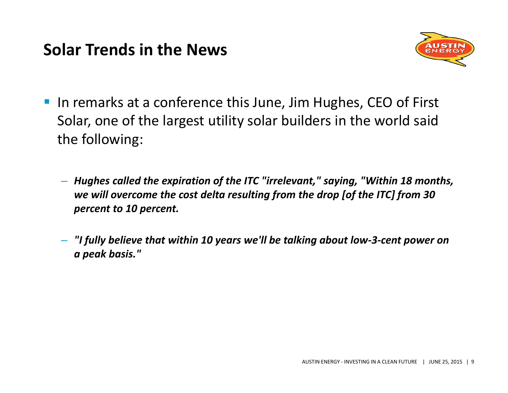#### **Solar Trends in the News**



- **IF In remarks at a conference this June, Jim Hughes, CEO of First** Solar, one of the largest utility solar builders in the world said the following:
	- *Hughes called the expiration of the ITC "irrelevant," saying, "Within 18 months, we will overcome the cost delta resulting from the drop [of the ITC] from 30 percent to 10 percent.*
	- *"I fully believe that within 10 years we'll be talking about low‐3‐cent power on a peak basis."*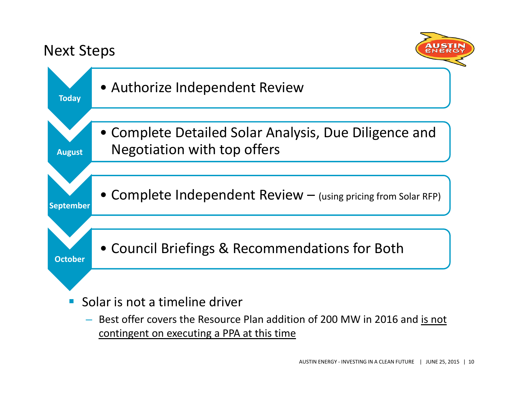